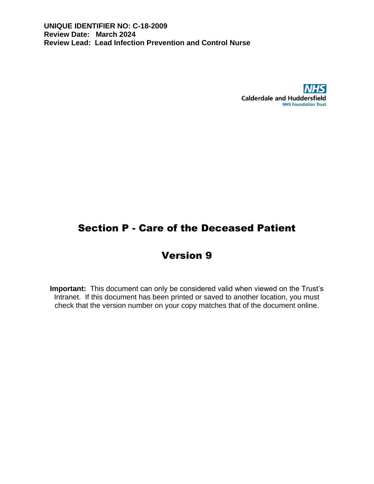

# Section P - Care of the Deceased Patient

# Version 9

**Important:** This document can only be considered valid when viewed on the Trust's Intranet. If this document has been printed or saved to another location, you must check that the version number on your copy matches that of the document online.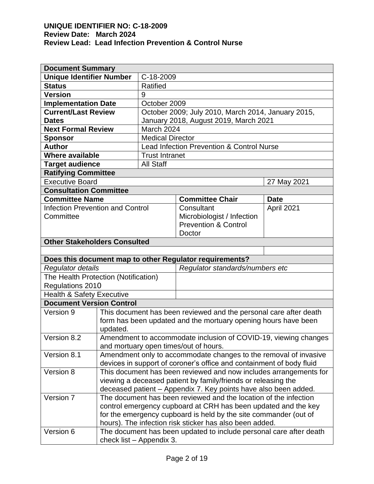| <b>Document Summary</b>                                     |                                                                      |                         |                                                                  |             |  |  |
|-------------------------------------------------------------|----------------------------------------------------------------------|-------------------------|------------------------------------------------------------------|-------------|--|--|
| <b>Unique Identifier Number</b>                             |                                                                      | C-18-2009               |                                                                  |             |  |  |
| <b>Status</b>                                               |                                                                      | <b>Ratified</b>         |                                                                  |             |  |  |
| <b>Version</b>                                              |                                                                      | 9                       |                                                                  |             |  |  |
| <b>Implementation Date</b><br>October 2009                  |                                                                      |                         |                                                                  |             |  |  |
| <b>Current/Last Review</b>                                  |                                                                      |                         | October 2009; July 2010, March 2014, January 2015,               |             |  |  |
| <b>Dates</b>                                                |                                                                      |                         | January 2018, August 2019, March 2021                            |             |  |  |
| <b>Next Formal Review</b>                                   |                                                                      | March 2024              |                                                                  |             |  |  |
| <b>Sponsor</b>                                              |                                                                      | <b>Medical Director</b> |                                                                  |             |  |  |
| <b>Author</b>                                               |                                                                      |                         | Lead Infection Prevention & Control Nurse                        |             |  |  |
| <b>Where available</b>                                      |                                                                      | <b>Trust Intranet</b>   |                                                                  |             |  |  |
| <b>Target audience</b>                                      |                                                                      | <b>All Staff</b>        |                                                                  |             |  |  |
| <b>Ratifying Committee</b>                                  |                                                                      |                         |                                                                  |             |  |  |
| <b>Executive Board</b>                                      |                                                                      |                         |                                                                  | 27 May 2021 |  |  |
| <b>Consultation Committee</b>                               |                                                                      |                         |                                                                  |             |  |  |
| <b>Committee Name</b>                                       |                                                                      |                         | <b>Committee Chair</b>                                           | <b>Date</b> |  |  |
| <b>Infection Prevention and Control</b>                     |                                                                      |                         | Consultant                                                       | April 2021  |  |  |
| Committee                                                   |                                                                      |                         | Microbiologist / Infection                                       |             |  |  |
|                                                             |                                                                      |                         | <b>Prevention &amp; Control</b>                                  |             |  |  |
| Doctor                                                      |                                                                      |                         |                                                                  |             |  |  |
| <b>Other Stakeholders Consulted</b>                         |                                                                      |                         |                                                                  |             |  |  |
|                                                             |                                                                      |                         |                                                                  |             |  |  |
|                                                             |                                                                      |                         | Does this document map to other Regulator requirements?          |             |  |  |
| Regulator standards/numbers etc<br><b>Regulator details</b> |                                                                      |                         |                                                                  |             |  |  |
| The Health Protection (Notification)                        |                                                                      |                         |                                                                  |             |  |  |
| Regulations 2010                                            |                                                                      |                         |                                                                  |             |  |  |
| <b>Health &amp; Safety Executive</b>                        |                                                                      |                         |                                                                  |             |  |  |
| <b>Document Version Control</b>                             |                                                                      |                         |                                                                  |             |  |  |
| Version 9                                                   | This document has been reviewed and the personal care after death    |                         |                                                                  |             |  |  |
|                                                             |                                                                      |                         | form has been updated and the mortuary opening hours have been   |             |  |  |
|                                                             | updated.                                                             |                         |                                                                  |             |  |  |
| Version 8.2                                                 |                                                                      |                         | Amendment to accommodate inclusion of COVID-19, viewing changes  |             |  |  |
|                                                             |                                                                      |                         | and mortuary open times/out of hours.                            |             |  |  |
| Version 8.1                                                 | Amendment only to accommodate changes to the removal of invasive     |                         |                                                                  |             |  |  |
|                                                             | devices in support of coroner's office and containment of body fluid |                         |                                                                  |             |  |  |
| Version 8                                                   | This document has been reviewed and now includes arrangements for    |                         |                                                                  |             |  |  |
|                                                             | viewing a deceased patient by family/friends or releasing the        |                         |                                                                  |             |  |  |
|                                                             |                                                                      |                         | deceased patient - Appendix 7. Key points have also been added.  |             |  |  |
| Version 7                                                   |                                                                      |                         | The document has been reviewed and the location of the infection |             |  |  |
|                                                             | control emergency cupboard at CRH has been updated and the key       |                         |                                                                  |             |  |  |
|                                                             | for the emergency cupboard is held by the site commander (out of     |                         |                                                                  |             |  |  |
|                                                             | hours). The infection risk sticker has also been added.              |                         |                                                                  |             |  |  |
| Version 6                                                   | The document has been updated to include personal care after death   |                         |                                                                  |             |  |  |
|                                                             | check list - Appendix 3.                                             |                         |                                                                  |             |  |  |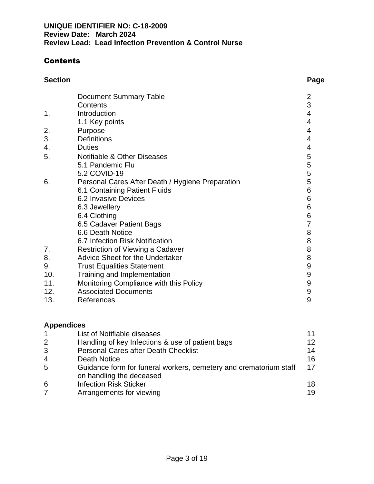# **Contents**

| <b>Section</b> |                               | Page |
|----------------|-------------------------------|------|
|                | <b>Document Summary Table</b> |      |

|     | <b>Document Summary Table</b>                    | $\overline{2}$ |
|-----|--------------------------------------------------|----------------|
|     | Contents                                         | 3              |
| 1.  | Introduction                                     | 4              |
|     | 1.1 Key points                                   | 4              |
| 2.  | Purpose                                          | 4              |
| 3.  | <b>Definitions</b>                               | 4              |
| 4.  | <b>Duties</b>                                    | 4              |
| 5.  | Notifiable & Other Diseases                      | 5              |
|     | 5.1 Pandemic Flu                                 | 5              |
|     | 5.2 COVID-19                                     | 5              |
| 6.  | Personal Cares After Death / Hygiene Preparation | 5              |
|     | 6.1 Containing Patient Fluids                    | 6              |
|     | 6.2 Invasive Devices                             | 6              |
|     | 6.3 Jewellery                                    | 6              |
|     | 6.4 Clothing                                     | 6              |
|     | 6.5 Cadaver Patient Bags                         | 7              |
|     | 6.6 Death Notice                                 | 8              |
|     | 6.7 Infection Risk Notification                  | 8              |
| 7.  | Restriction of Viewing a Cadaver                 | 8              |
| 8.  | <b>Advice Sheet for the Undertaker</b>           | 8              |
| 9.  | <b>Trust Equalities Statement</b>                | 9              |
| 10. | Training and Implementation                      | 9              |
| 11. | Monitoring Compliance with this Policy           | 9              |
| 12. | <b>Associated Documents</b>                      | 9              |
| 13. | References                                       | 9              |

# **Appendices**

| $\mathbf 1$    | List of Notifiable diseases                                                                   | 11      |
|----------------|-----------------------------------------------------------------------------------------------|---------|
| 2              | Handling of key Infections & use of patient bags                                              | $12 \,$ |
| 3              | <b>Personal Cares after Death Checklist</b>                                                   | 14      |
| $\overline{4}$ | Death Notice                                                                                  | 16      |
| 5              | Guidance form for funeral workers, cemetery and crematorium staff<br>on handling the deceased | 17      |
| 6              | <b>Infection Risk Sticker</b>                                                                 | 18      |
|                | Arrangements for viewing                                                                      | 19      |
|                |                                                                                               |         |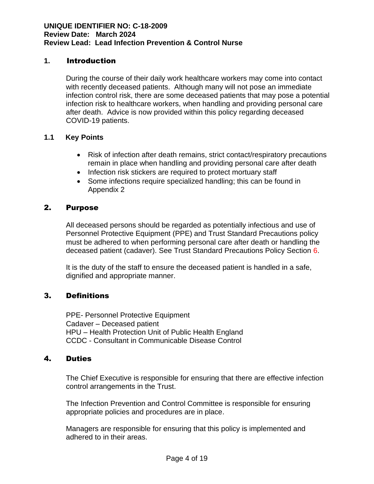### **1.** Introduction

During the course of their daily work healthcare workers may come into contact with recently deceased patients. Although many will not pose an immediate infection control risk, there are some deceased patients that may pose a potential infection risk to healthcare workers, when handling and providing personal care after death. Advice is now provided within this policy regarding deceased COVID-19 patients.

#### **1.1 Key Points**

- Risk of infection after death remains, strict contact/respiratory precautions remain in place when handling and providing personal care after death
- Infection risk stickers are required to protect mortuary staff
- Some infections require specialized handling; this can be found in Appendix 2

#### 2. Purpose

All deceased persons should be regarded as potentially infectious and use of Personnel Protective Equipment (PPE) and Trust Standard Precautions policy must be adhered to when performing personal care after death or handling the deceased patient (cadaver). See Trust Standard Precautions Policy Section 6.

It is the duty of the staff to ensure the deceased patient is handled in a safe, dignified and appropriate manner.

#### 3. Definitions

 PPE- Personnel Protective Equipment Cadaver – Deceased patient HPU – Health Protection Unit of Public Health England CCDC - Consultant in Communicable Disease Control

#### 4. Duties

The Chief Executive is responsible for ensuring that there are effective infection control arrangements in the Trust.

The Infection Prevention and Control Committee is responsible for ensuring appropriate policies and procedures are in place.

Managers are responsible for ensuring that this policy is implemented and adhered to in their areas.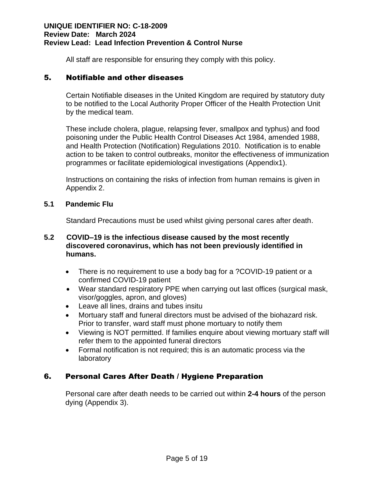All staff are responsible for ensuring they comply with this policy.

#### 5. Notifiable and other diseases

Certain Notifiable diseases in the United Kingdom are required by statutory duty to be notified to the Local Authority Proper Officer of the Health Protection Unit by the medical team.

 These include cholera, plague, relapsing fever, smallpox and typhus) and food poisoning under the Public Health Control Diseases Act 1984, amended 1988, and Health Protection (Notification) Regulations 2010. Notification is to enable action to be taken to control outbreaks, monitor the effectiveness of immunization programmes or facilitate epidemiological investigations (Appendix1).

 Instructions on containing the risks of infection from human remains is given in Appendix 2.

#### **5.1 Pandemic Flu**

Standard Precautions must be used whilst giving personal cares after death.

#### **5.2 COVID–19 is the infectious disease caused by the most recently discovered coronavirus, which has not been previously identified in humans.**

- There is no requirement to use a body bag for a ?COVID-19 patient or a confirmed COVID-19 patient
- Wear standard respiratory PPE when carrying out last offices (surgical mask, visor/goggles, apron, and gloves)
- Leave all lines, drains and tubes insitu
- Mortuary staff and funeral directors must be advised of the biohazard risk. Prior to transfer, ward staff must phone mortuary to notify them
- Viewing is NOT permitted. If families enquire about viewing mortuary staff will refer them to the appointed funeral directors
- Formal notification is not required; this is an automatic process via the laboratory

# 6. Personal Cares After Death / Hygiene Preparation

Personal care after death needs to be carried out within **2-4 hours** of the person dying (Appendix 3).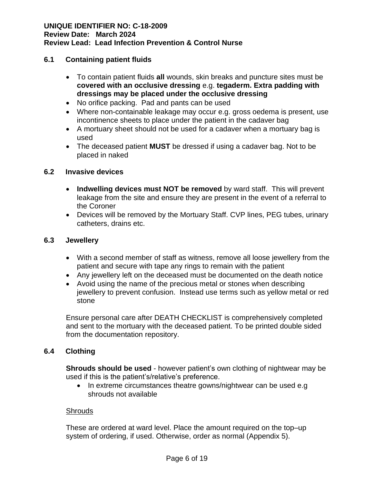#### **6.1 Containing patient fluids**

- To contain patient fluids **all** wounds, skin breaks and puncture sites must be **covered with an occlusive dressing** e.g. **tegaderm. Extra padding with dressings may be placed under the occlusive dressing**
- No orifice packing. Pad and pants can be used
- Where non-containable leakage may occur e.g. gross oedema is present, use incontinence sheets to place under the patient in the cadaver bag
- A mortuary sheet should not be used for a cadaver when a mortuary bag is used
- The deceased patient **MUST** be dressed if using a cadaver bag. Not to be placed in naked

#### **6.2 Invasive devices**

- **Indwelling devices must NOT be removed** by ward staff. This will prevent leakage from the site and ensure they are present in the event of a referral to the Coroner
- Devices will be removed by the Mortuary Staff. CVP lines, PEG tubes, urinary catheters, drains etc.

#### **6.3 Jewellery**

- With a second member of staff as witness, remove all loose jewellery from the patient and secure with tape any rings to remain with the patient
- Any jewellery left on the deceased must be documented on the death notice
- Avoid using the name of the precious metal or stones when describing jewellery to prevent confusion. Instead use terms such as yellow metal or red stone

Ensure personal care after DEATH CHECKLIST is comprehensively completed and sent to the mortuary with the deceased patient. To be printed double sided from the documentation repository.

#### **6.4 Clothing**

**Shrouds should be used** - however patient's own clothing of nightwear may be used if this is the patient's/relative's preference.

• In extreme circumstances theatre gowns/nightwear can be used e.g shrouds not available

#### **Shrouds**

These are ordered at ward level. Place the amount required on the top–up system of ordering, if used. Otherwise, order as normal (Appendix 5).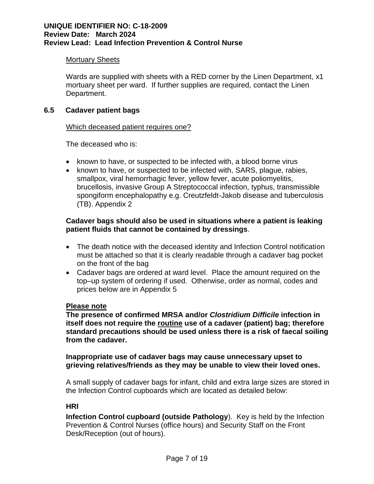#### Mortuary Sheets

Wards are supplied with sheets with a RED corner by the Linen Department, x1 mortuary sheet per ward. If further supplies are required, contact the Linen Department.

#### **6.5 Cadaver patient bags**

#### Which deceased patient requires one?

The deceased who is:

- known to have, or suspected to be infected with, a blood borne virus
- known to have, or suspected to be infected with, SARS, plague, rabies, smallpox, viral hemorrhagic fever, yellow fever, acute poliomyelitis, brucellosis, invasive Group A Streptococcal infection, typhus, transmissible spongiform encephalopathy e.g. Creutzfeldt-Jakob disease and tuberculosis (TB). Appendix 2

#### **Cadaver bags should also be used in situations where a patient is leaking patient fluids that cannot be contained by dressings**.

- The death notice with the deceased identity and Infection Control notification must be attached so that it is clearly readable through a cadaver bag pocket on the front of the bag
- Cadaver bags are ordered at ward level. Place the amount required on the top–up system of ordering if used. Otherwise, order as normal, codes and prices below are in Appendix 5

#### **Please note**

**The presence of confirmed MRSA and/or** *Clostridium Difficile* **infection in itself does not require the routine use of a cadaver (patient) bag; therefore standard precautions should be used unless there is a risk of faecal soiling from the cadaver.**

#### **Inappropriate use of cadaver bags may cause unnecessary upset to grieving relatives/friends as they may be unable to view their loved ones.**

A small supply of cadaver bags for infant, child and extra large sizes are stored in the Infection Control cupboards which are located as detailed below:

#### **HRI**

**Infection Control cupboard (outside Pathology**). Key is held by the Infection Prevention & Control Nurses (office hours) and Security Staff on the Front Desk/Reception (out of hours).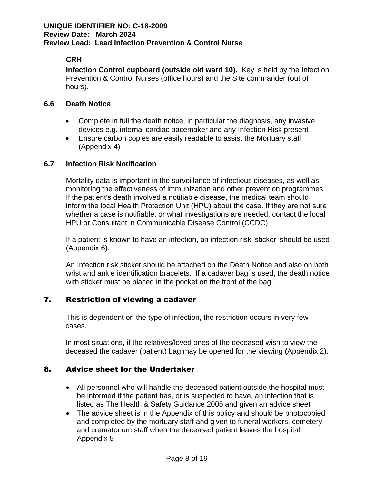# **CRH**

**Infection Control cupboard (outside old ward 10).** Key is held by the Infection Prevention & Control Nurses (office hours) and the Site commander (out of hours).

#### **6.6 Death Notice**

- Complete in full the death notice, in particular the diagnosis, any invasive devices e.g. internal cardiac pacemaker and any Infection Risk present
- Ensure carbon copies are easily readable to assist the Mortuary staff (Appendix 4)

#### **6.7 Infection Risk Notification**

Mortality data is important in the surveillance of infectious diseases, as well as monitoring the effectiveness of immunization and other prevention programmes. If the patient's death involved a notifiable disease, the medical team should inform the local Health Protection Unit (HPU) about the case. If they are not sure whether a case is notifiable, or what investigations are needed, contact the local HPU or Consultant in Communicable Disease Control (CCDC).

If a patient is known to have an infection, an infection risk 'sticker' should be used (Appendix 6).

An Infection risk sticker should be attached on the Death Notice and also on both wrist and ankle identification bracelets. If a cadaver bag is used, the death notice with sticker must be placed in the pocket on the front of the bag.

# 7. Restriction of viewing a cadaver

This is dependent on the type of infection, the restriction occurs in very few cases.

In most situations, if the relatives/loved ones of the deceased wish to view the deceased the cadaver (patient) bag may be opened for the viewing **(**Appendix 2).

#### 8. Advice sheet for the Undertaker

- All personnel who will handle the deceased patient outside the hospital must be informed if the patient has, or is suspected to have, an infection that is listed as The Health & Safety Guidance 2005 and given an advice sheet
- The advice sheet is in the Appendix of this policy and should be photocopied and completed by the mortuary staff and given to funeral workers, cemetery and crematorium staff when the deceased patient leaves the hospital. Appendix 5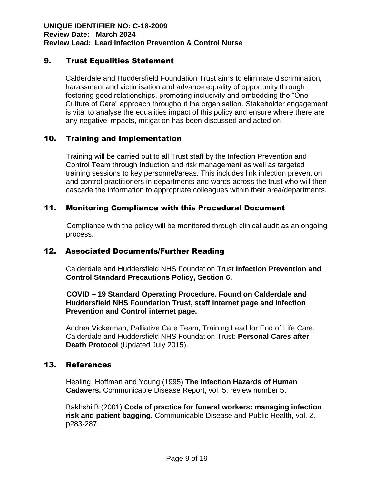#### 9. Trust Equalities Statement

Calderdale and Huddersfield Foundation Trust aims to eliminate discrimination, harassment and victimisation and advance equality of opportunity through fostering good relationships, promoting inclusivity and embedding the "One Culture of Care" approach throughout the organisation. Stakeholder engagement is vital to analyse the equalities impact of this policy and ensure where there are any negative impacts, mitigation has been discussed and acted on.

# 10. Training and Implementation

Training will be carried out to all Trust staff by the Infection Prevention and Control Team through Induction and risk management as well as targeted training sessions to key personnel/areas. This includes link infection prevention and control practitioners in departments and wards across the trust who will then cascade the information to appropriate colleagues within their area/departments.

#### 11. Monitoring Compliance with this Procedural Document

 Compliance with the policy will be monitored through clinical audit as an ongoing process.

#### 12. Associated Documents/Further Reading

Calderdale and Huddersfield NHS Foundation Trust **Infection Prevention and Control Standard Precautions Policy, Section 6.**

#### **COVID – 19 Standard Operating Procedure. Found on Calderdale and Huddersfield NHS Foundation Trust, staff internet page and Infection Prevention and Control internet page.**

Andrea Vickerman, Palliative Care Team, Training Lead for End of Life Care, Calderdale and Huddersfield NHS Foundation Trust: **Personal Cares after Death Protocol** (Updated July 2015).

#### 13. References

Healing, Hoffman and Young (1995) **The Infection Hazards of Human Cadavers.** Communicable Disease Report, vol. 5, review number 5.

Bakhshi B (2001) **Code of practice for funeral workers: managing infection risk and patient bagging.** Communicable Disease and Public Health, vol. 2, p283-287.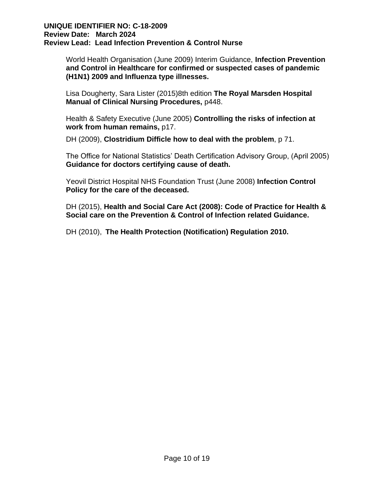World Health Organisation (June 2009) Interim Guidance, **Infection Prevention and Control in Healthcare for confirmed or suspected cases of pandemic (H1N1) 2009 and Influenza type illnesses.**

Lisa Dougherty, Sara Lister (2015)8th edition **The Royal Marsden Hospital Manual of Clinical Nursing Procedures,** p448.

Health & Safety Executive (June 2005) **Controlling the risks of infection at work from human remains,** p17.

DH (2009), **Clostridium Difficle how to deal with the problem**, p 71.

The Office for National Statistics' Death Certification Advisory Group, (April 2005) **Guidance for doctors certifying cause of death.**

Yeovil District Hospital NHS Foundation Trust (June 2008) **Infection Control Policy for the care of the deceased.**

DH (2015), **Health and Social Care Act (2008): Code of Practice for Health & Social care on the Prevention & Control of Infection related Guidance.**

DH (2010), **The Health Protection (Notification) Regulation 2010.**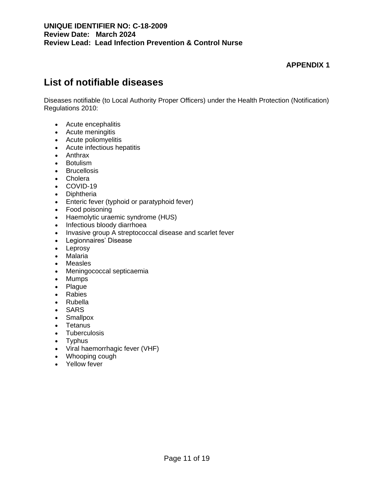# **List of notifiable diseases**

Diseases notifiable (to Local Authority Proper Officers) under the Health Protection (Notification) Regulations 2010:

- Acute encephalitis
- Acute meningitis
- Acute poliomyelitis
- Acute infectious hepatitis
- Anthrax
- Botulism
- Brucellosis
- Cholera
- COVID-19
- Diphtheria
- Enteric fever (typhoid or paratyphoid fever)
- Food poisoning
- Haemolytic uraemic syndrome (HUS)
- Infectious bloody diarrhoea
- Invasive group A streptococcal disease and scarlet fever
- Legionnaires' Disease
- Leprosy
- Malaria
- Measles
- Meningococcal septicaemia
- Mumps
- Plague
- Rabies
- Rubella
- SARS
- Smallpox
- Tetanus
- Tuberculosis
- Typhus
- Viral haemorrhagic fever (VHF)
- Whooping cough
- Yellow fever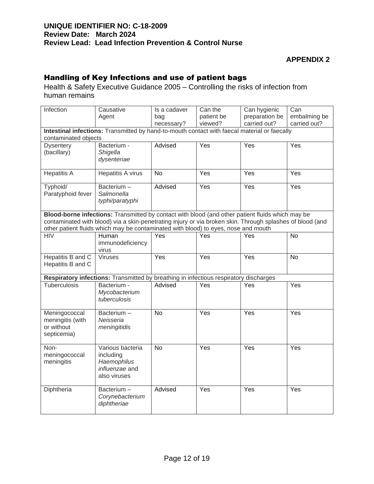# Handling of Key Infections and use of patient bags

Health & Safety Executive Guidance 2005 – Controlling the risks of infection from human remains

| Infection                                                      | Causative<br>Agent                                                                                                                                                                                                                                                                                  | Is a cadaver<br>bag<br>necessary? | Can the<br>patient be<br>viewed? | Can hygienic<br>preparation be<br>carried out? | Can<br>embalming be<br>carried out? |
|----------------------------------------------------------------|-----------------------------------------------------------------------------------------------------------------------------------------------------------------------------------------------------------------------------------------------------------------------------------------------------|-----------------------------------|----------------------------------|------------------------------------------------|-------------------------------------|
| contaminated objects                                           | Intestinal infections: Transmitted by hand-to-mouth contact with faecal material or faecally                                                                                                                                                                                                        |                                   |                                  |                                                |                                     |
| <b>Dysentery</b><br>(bacillary)                                | Bacterium -<br>Shigella<br>dysenteriae                                                                                                                                                                                                                                                              | Advised                           | Yes                              | Yes                                            | Yes                                 |
| <b>Hepatitis A</b>                                             | Hepatitis A virus                                                                                                                                                                                                                                                                                   | <b>No</b>                         | Yes                              | Yes                                            | Yes                                 |
| Typhoid/<br>Paratyphoid fever                                  | Bacterium-<br>Salmonella<br>typhi/paratyphi                                                                                                                                                                                                                                                         | Advised                           | Yes                              | Yes                                            | Yes                                 |
|                                                                | Blood-borne infections: Transmitted by contact with blood (and other patient fluids which may be<br>contaminated with blood) via a skin-penetrating injury or via broken skin. Through splashes of blood (and<br>other patient fluids which may be contaminated with blood) to eyes, nose and mouth |                                   |                                  |                                                |                                     |
| <b>HIV</b>                                                     | <b>Human</b><br>immunodeficiency<br>virus                                                                                                                                                                                                                                                           | <b>Yes</b>                        | Yes                              | Yes                                            | N <sub>o</sub>                      |
| Hepatitis B and C<br>Hepatitis B and C                         | Viruses                                                                                                                                                                                                                                                                                             | Yes                               | Yes                              | Yes                                            | <b>No</b>                           |
|                                                                | Respiratory infections: Transmitted by breathing in infectious respiratory discharges                                                                                                                                                                                                               |                                   |                                  |                                                |                                     |
| <b>Tuberculosis</b>                                            | Bacterium -<br>Mycobacterium<br>tuberculosis                                                                                                                                                                                                                                                        | Advised                           | Yes                              | Yes                                            | Yes                                 |
| Meningococcal<br>meningitis (with<br>or without<br>septicemia) | Bacterium-<br>Neisseria<br>meningitidis                                                                                                                                                                                                                                                             | <b>No</b>                         | Yes                              | Yes                                            | Yes                                 |
| Non-<br>meningococcal<br>meningitis                            | Various bacteria<br>including<br>Haemophilus<br>influenzae and<br>also viruses                                                                                                                                                                                                                      | <b>No</b>                         | Yes                              | Yes                                            | Yes                                 |
| Diphtheria                                                     | Bacterium-<br>Corynebacterium<br>diphtheriae                                                                                                                                                                                                                                                        | Advised                           | Yes                              | Yes                                            | Yes                                 |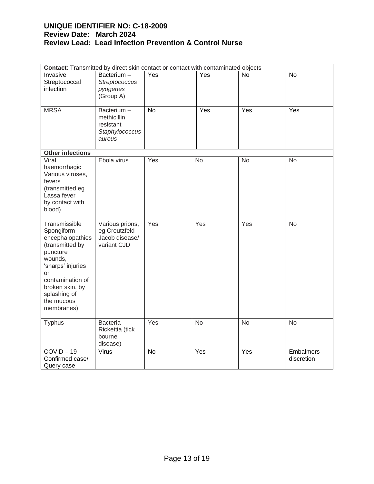| Contact: Transmitted by direct skin contact or contact with contaminated objects                                                                                                                               |                                                                    |           |           |                  |                                |
|----------------------------------------------------------------------------------------------------------------------------------------------------------------------------------------------------------------|--------------------------------------------------------------------|-----------|-----------|------------------|--------------------------------|
| Invasive<br>Streptococcal<br>infection                                                                                                                                                                         | Bacterium-<br>Streptococcus<br>pyogenes<br>(Group A)               | Yes       | Yes       | No               | No                             |
| <b>MRSA</b>                                                                                                                                                                                                    | Bacterium-<br>methicillin<br>resistant<br>Staphylococcus<br>aureus | <b>No</b> | Yes       | $\overline{Yes}$ | Yes                            |
| <b>Other infections</b>                                                                                                                                                                                        |                                                                    |           |           |                  |                                |
| Viral<br>haemorrhagic<br>Various viruses,<br>fevers<br>(transmitted eg<br>Lassa fever<br>by contact with<br>blood)                                                                                             | Ebola virus                                                        | Yes       | <b>No</b> | <b>No</b>        | <b>No</b>                      |
| Transmissible<br>Spongiform<br>encephalopathies<br>(transmitted by<br>puncture<br>wounds,<br>'sharps' injuries<br><b>or</b><br>contamination of<br>broken skin, by<br>splashing of<br>the mucous<br>membranes) | Various prions,<br>eg Creutzfeld<br>Jacob disease/<br>variant CJD  | Yes       | Yes       | Yes              | No                             |
| <b>Typhus</b>                                                                                                                                                                                                  | Bacteria-<br>Rickettia (tick<br>bourne<br>disease)                 | Yes       | <b>No</b> | <b>No</b>        | <b>No</b>                      |
| $COVID-19$<br>Confirmed case/<br>Query case                                                                                                                                                                    | Virus                                                              | <b>No</b> | Yes       | Yes              | <b>Embalmers</b><br>discretion |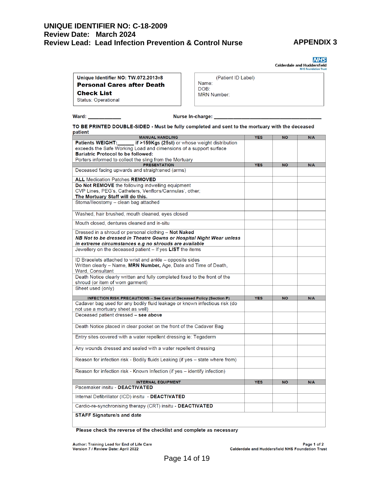# **APPENDIX 3**

**NHS** Calderdale and Huddersfield

| Unique Identifier NO: TW.072.2013v8 |
|-------------------------------------|
| <b>Personal Cares after Death</b>   |
| <b>Check List</b>                   |
| Status: Operational                 |

|                    | (Patient ID Label) |
|--------------------|--------------------|
| Name:              |                    |
| DOB:               |                    |
| <b>MRN Number:</b> |                    |

Ward: \_

Nurse In-charge: \_

TO BE PRINTED DOUBLE-SIDED - Must be fully completed and sent to the mortuary with the deceased patient

| <b>MANUAL HANDLING</b>                                                        | <b>YES</b> | <b>NO</b> | N/A |
|-------------------------------------------------------------------------------|------------|-----------|-----|
| if >159Kgs (25st) or whose weight distribution<br><b>Patients WEIGHT:</b>     |            |           |     |
| exceeds the Safe Working Load and dimensions of a support surface             |            |           |     |
| <b>Bariatric Protocol to be followed:</b>                                     |            |           |     |
| Porters informed to collect the sling from the Mortuary                       |            |           |     |
| <b>PRESENTATION</b>                                                           | <b>YES</b> | <b>NO</b> | N/A |
| Deceased facing upwards and straightened (arms)                               |            |           |     |
| <b>ALL Medication Patches REMOVED</b>                                         |            |           |     |
| Do Not REMOVE the following indwelling equipment                              |            |           |     |
| CVP Lines, PEG's, Catheters, Venflons/Cannulas', other;                       |            |           |     |
| The Mortuary Staff will do this.                                              |            |           |     |
| Stoma/lleostomy - clean bag attached                                          |            |           |     |
| Washed, hair brushed, mouth cleaned, eyes closed                              |            |           |     |
| Mouth closed, dentures cleaned and in-situ                                    |            |           |     |
| Dressed in a shroud or personal clothing - Not Naked                          |            |           |     |
| NB Not to be dressed in Theatre Gowns or Hospital Night Wear unless           |            |           |     |
| in extreme circumstances e.g no shrouds are available                         |            |           |     |
| Jewellery on the deceased patient $-$ If yes LIST the items                   |            |           |     |
| ID Bracelets attached to wrist and ankle – opposite sides                     |            |           |     |
| Written clearly – Name, MRN Number, Age, Date and Time of Death,              |            |           |     |
| Ward, Consultant                                                              |            |           |     |
| Death Notice clearly written and fully completed fixed to the front of the    |            |           |     |
| shroud (or item of worn garment)                                              |            |           |     |
| Sheet used (only)                                                             |            |           |     |
| <b>INFECTION RISK PRECAUTIONS - See Care of Deceased Policy (Section P)</b>   | <b>YES</b> | <b>NO</b> | N/A |
| Cadaver bag used for any bodily fluid leakage or known infectious risk (do    |            |           |     |
| not use a mortuary sheet as well)                                             |            |           |     |
| Deceased patient dressed - see above                                          |            |           |     |
|                                                                               |            |           |     |
| Death Notice placed in clear pocket on the front of the Cadaver Bag           |            |           |     |
| Entry sites covered with a water repellent dressing ie: Tegaderm              |            |           |     |
|                                                                               |            |           |     |
| Any wounds dressed and sealed with a water repellent dressing                 |            |           |     |
| Reason for infection risk - Bodily fluids Leaking (if yes - state where from) |            |           |     |
| Reason for infection risk - Known Infection (if yes - identify infection)     |            |           |     |
| <b>INTERNAL EQUIPMENT</b>                                                     | <b>YES</b> | <b>NO</b> | N/A |
| Pacemaker insitu - DEACTIVATED                                                |            |           |     |
| Internal Defibrillator (ICD) insitu - DEACTIVATED                             |            |           |     |
| Cardio-re-synchronising therapy (CRT) insitu - DEACTIVATED                    |            |           |     |
| <b>STAFF Signature/s and date</b>                                             |            |           |     |
|                                                                               |            |           |     |

Please check the reverse of the checklist and complete as necessary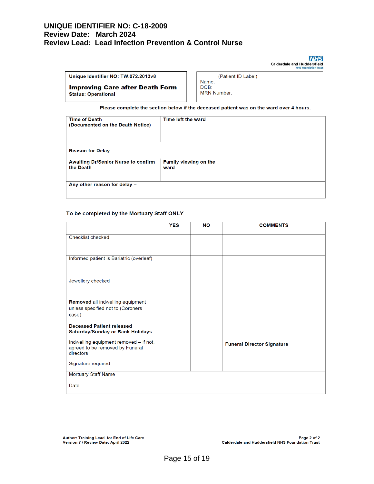**NHS** Calderdale and Huddersfield

| Unique Identifier NO: TW.072.2013v8                                  |
|----------------------------------------------------------------------|
| <b>Improving Care after Death Form</b><br><b>Status: Operational</b> |
|                                                                      |

(Patient ID Label) Name: DOB: **MRN Number:** 

Please complete the section below if the deceased patient was on the ward over 4 hours.

| <b>Time of Death</b><br>(Documented on the Death Notice) | Time left the ward            |  |
|----------------------------------------------------------|-------------------------------|--|
| <b>Reason for Delay</b>                                  |                               |  |
| <b>Awaiting Dr/Senior Nurse to confirm</b><br>the Death  | Family viewing on the<br>ward |  |
| Any other reason for delay -                             |                               |  |

#### To be completed by the Mortuary Staff ONLY

|                                                                                        | <b>YES</b> | <b>NO</b> | <b>COMMENTS</b>                   |
|----------------------------------------------------------------------------------------|------------|-----------|-----------------------------------|
| Checklist checked                                                                      |            |           |                                   |
| Informed patient is Bariatric (overleaf)                                               |            |           |                                   |
| Jewellery checked                                                                      |            |           |                                   |
| Removed all indwelling equipment<br>unless specified not to (Coroners<br>case)         |            |           |                                   |
| <b>Deceased Patient released</b><br><b>Saturday/Sunday or Bank Holidays</b>            |            |           |                                   |
| Indwelling equipment removed - if not,<br>agreed to be removed by Funeral<br>directors |            |           | <b>Funeral Director Signature</b> |
| Signature required                                                                     |            |           |                                   |
| <b>Mortuary Staff Name</b>                                                             |            |           |                                   |
| Date                                                                                   |            |           |                                   |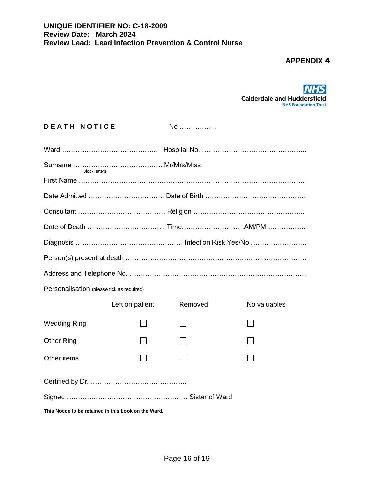

| <b>DEATH NOTICE</b> |  |
|---------------------|--|
|---------------------|--|

**No** ………………

| <b>Block letters</b>                                 |                 |         |              |  |
|------------------------------------------------------|-----------------|---------|--------------|--|
|                                                      |                 |         |              |  |
|                                                      |                 |         |              |  |
|                                                      |                 |         |              |  |
|                                                      |                 |         |              |  |
|                                                      |                 |         |              |  |
|                                                      |                 |         |              |  |
|                                                      |                 |         |              |  |
| Personalisation (please tick as required)            |                 |         |              |  |
|                                                      | Left on patient | Removed | No valuables |  |
| <b>Wedding Ring</b>                                  |                 |         |              |  |
| <b>Other Ring</b>                                    |                 |         |              |  |
| Other items                                          |                 |         |              |  |
|                                                      |                 |         |              |  |
|                                                      |                 |         |              |  |
| This Notice to be retained in this book on the Ward. |                 |         |              |  |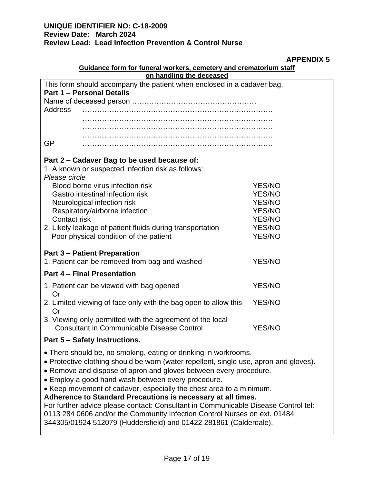# **APPENDIX 5**

| Guidance form for funeral workers, cemetery and crematorium staff                                                                                                                                                                                                                                                                                                                                                                                                                                                                                                                                                                                                  |                                                                                                                |                                |  |  |
|--------------------------------------------------------------------------------------------------------------------------------------------------------------------------------------------------------------------------------------------------------------------------------------------------------------------------------------------------------------------------------------------------------------------------------------------------------------------------------------------------------------------------------------------------------------------------------------------------------------------------------------------------------------------|----------------------------------------------------------------------------------------------------------------|--------------------------------|--|--|
| on handling the deceased                                                                                                                                                                                                                                                                                                                                                                                                                                                                                                                                                                                                                                           |                                                                                                                |                                |  |  |
| This form should accompany the patient when enclosed in a cadaver bag.<br><b>Part 1 - Personal Details</b>                                                                                                                                                                                                                                                                                                                                                                                                                                                                                                                                                         |                                                                                                                |                                |  |  |
| <b>Address</b>                                                                                                                                                                                                                                                                                                                                                                                                                                                                                                                                                                                                                                                     |                                                                                                                |                                |  |  |
|                                                                                                                                                                                                                                                                                                                                                                                                                                                                                                                                                                                                                                                                    |                                                                                                                |                                |  |  |
|                                                                                                                                                                                                                                                                                                                                                                                                                                                                                                                                                                                                                                                                    |                                                                                                                |                                |  |  |
| <b>GP</b>                                                                                                                                                                                                                                                                                                                                                                                                                                                                                                                                                                                                                                                          |                                                                                                                |                                |  |  |
| Part 2 – Cadaver Bag to be used because of:<br>1. A known or suspected infection risk as follows:<br>Please circle                                                                                                                                                                                                                                                                                                                                                                                                                                                                                                                                                 |                                                                                                                |                                |  |  |
|                                                                                                                                                                                                                                                                                                                                                                                                                                                                                                                                                                                                                                                                    | Blood borne virus infection risk                                                                               | <b>YES/NO</b>                  |  |  |
|                                                                                                                                                                                                                                                                                                                                                                                                                                                                                                                                                                                                                                                                    | Gastro intestinal infection risk<br>Neurological infection risk                                                | <b>YES/NO</b><br><b>YES/NO</b> |  |  |
|                                                                                                                                                                                                                                                                                                                                                                                                                                                                                                                                                                                                                                                                    | Respiratory/airborne infection                                                                                 | <b>YES/NO</b>                  |  |  |
| Contact risk                                                                                                                                                                                                                                                                                                                                                                                                                                                                                                                                                                                                                                                       |                                                                                                                | <b>YES/NO</b>                  |  |  |
|                                                                                                                                                                                                                                                                                                                                                                                                                                                                                                                                                                                                                                                                    | 2. Likely leakage of patient fluids during transportation                                                      | <b>YES/NO</b>                  |  |  |
|                                                                                                                                                                                                                                                                                                                                                                                                                                                                                                                                                                                                                                                                    | Poor physical condition of the patient                                                                         | <b>YES/NO</b>                  |  |  |
|                                                                                                                                                                                                                                                                                                                                                                                                                                                                                                                                                                                                                                                                    | <b>Part 3 – Patient Preparation</b><br>1. Patient can be removed from bag and washed                           | <b>YES/NO</b>                  |  |  |
|                                                                                                                                                                                                                                                                                                                                                                                                                                                                                                                                                                                                                                                                    | <b>Part 4 - Final Presentation</b>                                                                             |                                |  |  |
| Or                                                                                                                                                                                                                                                                                                                                                                                                                                                                                                                                                                                                                                                                 | 1. Patient can be viewed with bag opened                                                                       | <b>YES/NO</b>                  |  |  |
| Or                                                                                                                                                                                                                                                                                                                                                                                                                                                                                                                                                                                                                                                                 | 2. Limited viewing of face only with the bag open to allow this                                                | <b>YES/NO</b>                  |  |  |
|                                                                                                                                                                                                                                                                                                                                                                                                                                                                                                                                                                                                                                                                    | 3. Viewing only permitted with the agreement of the local<br><b>Consultant in Communicable Disease Control</b> | <b>YES/NO</b>                  |  |  |
|                                                                                                                                                                                                                                                                                                                                                                                                                                                                                                                                                                                                                                                                    | Part 5 - Safety Instructions.                                                                                  |                                |  |  |
| • There should be, no smoking, eating or drinking in workrooms.<br>• Protective clothing should be worn (water repellent, single use, apron and gloves).<br>• Remove and dispose of apron and gloves between every procedure.<br>• Employ a good hand wash between every procedure.<br>• Keep movement of cadaver, especially the chest area to a minimum.<br>Adherence to Standard Precautions is necessary at all times.<br>For further advice please contact: Consultant in Communicable Disease Control tel:<br>0113 284 0606 and/or the Community Infection Control Nurses on ext. 01484<br>344305/01924 512079 (Huddersfield) and 01422 281861 (Calderdale). |                                                                                                                |                                |  |  |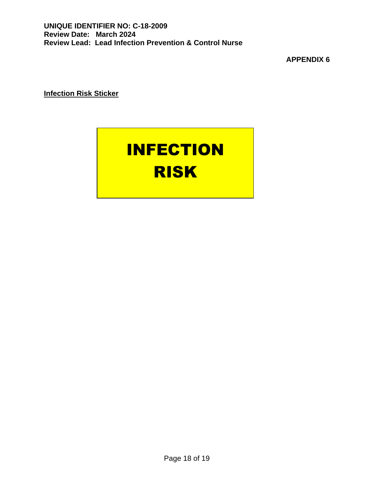**Infection Risk Sticker**

# INFECTION RISK